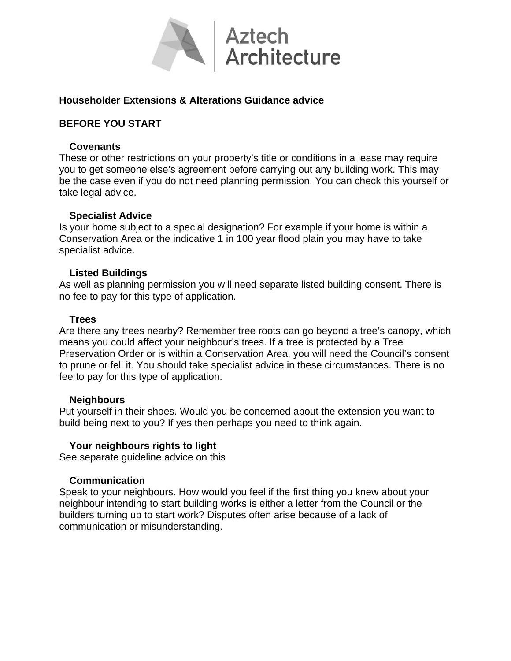

# **Householder Extensions & Alterations Guidance advice**

## **BEFORE YOU START**

### **Covenants**

These or other restrictions on your property's title or conditions in a lease may require you to get someone else's agreement before carrying out any building work. This may be the case even if you do not need planning permission. You can check this yourself or take legal advice.

### **Specialist Advice**

Is your home subject to a special designation? For example if your home is within a Conservation Area or the indicative 1 in 100 year flood plain you may have to take specialist advice.

### **Listed Buildings**

As well as planning permission you will need separate listed building consent. There is no fee to pay for this type of application.

### **Trees**

Are there any trees nearby? Remember tree roots can go beyond a tree's canopy, which means you could affect your neighbour's trees. If a tree is protected by a Tree Preservation Order or is within a Conservation Area, you will need the Council's consent to prune or fell it. You should take specialist advice in these circumstances. There is no fee to pay for this type of application.

#### **Neighbours**

Put yourself in their shoes. Would you be concerned about the extension you want to build being next to you? If yes then perhaps you need to think again.

## **Your neighbours rights to light**

See separate guideline advice on this

## **Communication**

Speak to your neighbours. How would you feel if the first thing you knew about your neighbour intending to start building works is either a letter from the Council or the builders turning up to start work? Disputes often arise because of a lack of communication or misunderstanding.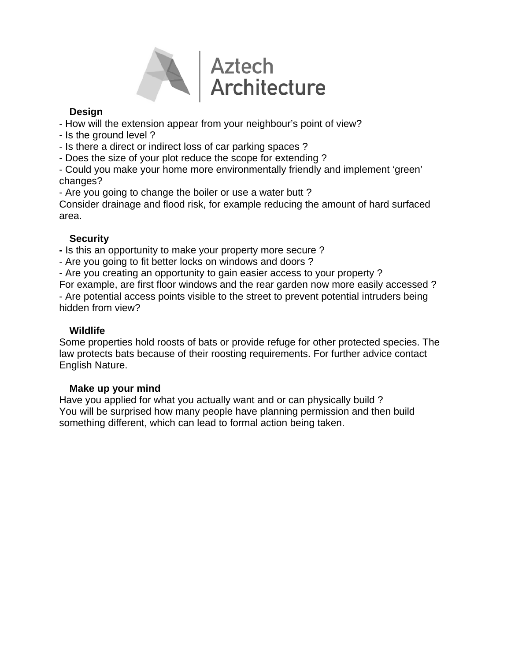

# **Design**

- How will the extension appear from your neighbour's point of view?
- Is the ground level ?
- Is there a direct or indirect loss of car parking spaces ?
- Does the size of your plot reduce the scope for extending ?

- Could you make your home more environmentally friendly and implement 'green' changes?

- Are you going to change the boiler or use a water butt ?

Consider drainage and flood risk, for example reducing the amount of hard surfaced area.

# **Security**

**-** Is this an opportunity to make your property more secure ?

- Are you going to fit better locks on windows and doors ?

- Are you creating an opportunity to gain easier access to your property ?

For example, are first floor windows and the rear garden now more easily accessed ? - Are potential access points visible to the street to prevent potential intruders being hidden from view?

# **Wildlife**

Some properties hold roosts of bats or provide refuge for other protected species. The law protects bats because of their roosting requirements. For further advice contact English Nature.

## **Make up your mind**

Have you applied for what you actually want and or can physically build ? You will be surprised how many people have planning permission and then build something different, which can lead to formal action being taken.